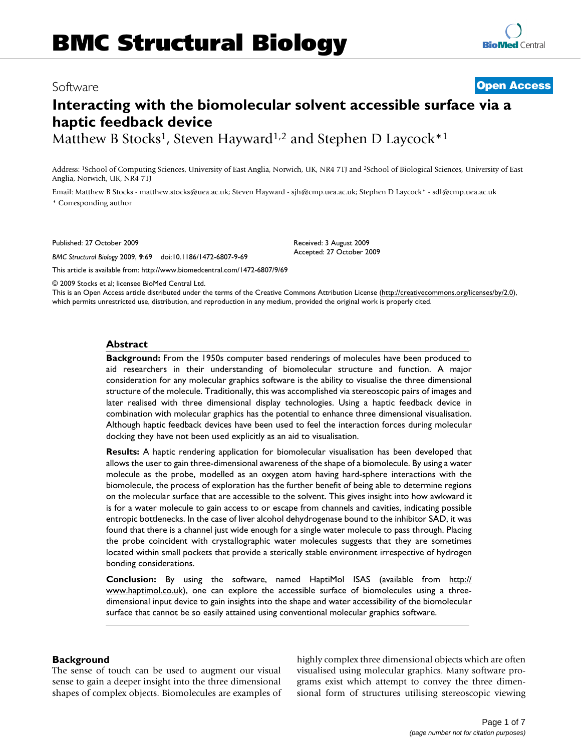# Software **[Open Access](http://www.biomedcentral.com/info/about/charter/)**

# **Interacting with the biomolecular solvent accessible surface via a haptic feedback device**

Matthew B Stocks<sup>1</sup>, Steven Hayward<sup>1,2</sup> and Stephen D Laycock<sup>\*1</sup>

Address: 1School of Computing Sciences, University of East Anglia, Norwich, UK, NR4 7TJ and 2School of Biological Sciences, University of East Anglia, Norwich, UK, NR4 7TJ

Email: Matthew B Stocks - matthew.stocks@uea.ac.uk; Steven Hayward - sjh@cmp.uea.ac.uk; Stephen D Laycock\* - sdl@cmp.uea.ac.uk \* Corresponding author

Published: 27 October 2009

*BMC Structural Biology* 2009, **9**:69 doi:10.1186/1472-6807-9-69

[This article is available from: http://www.biomedcentral.com/1472-6807/9/69](http://www.biomedcentral.com/1472-6807/9/69)

© 2009 Stocks et al; licensee BioMed Central Ltd.

This is an Open Access article distributed under the terms of the Creative Commons Attribution License [\(http://creativecommons.org/licenses/by/2.0\)](http://creativecommons.org/licenses/by/2.0), which permits unrestricted use, distribution, and reproduction in any medium, provided the original work is properly cited.

Received: 3 August 2009 Accepted: 27 October 2009

#### **Abstract**

**Background:** From the 1950s computer based renderings of molecules have been produced to aid researchers in their understanding of biomolecular structure and function. A major consideration for any molecular graphics software is the ability to visualise the three dimensional structure of the molecule. Traditionally, this was accomplished via stereoscopic pairs of images and later realised with three dimensional display technologies. Using a haptic feedback device in combination with molecular graphics has the potential to enhance three dimensional visualisation. Although haptic feedback devices have been used to feel the interaction forces during molecular docking they have not been used explicitly as an aid to visualisation.

**Results:** A haptic rendering application for biomolecular visualisation has been developed that allows the user to gain three-dimensional awareness of the shape of a biomolecule. By using a water molecule as the probe, modelled as an oxygen atom having hard-sphere interactions with the biomolecule, the process of exploration has the further benefit of being able to determine regions on the molecular surface that are accessible to the solvent. This gives insight into how awkward it is for a water molecule to gain access to or escape from channels and cavities, indicating possible entropic bottlenecks. In the case of liver alcohol dehydrogenase bound to the inhibitor SAD, it was found that there is a channel just wide enough for a single water molecule to pass through. Placing the probe coincident with crystallographic water molecules suggests that they are sometimes located within small pockets that provide a sterically stable environment irrespective of hydrogen bonding considerations.

**Conclusion:** By using the software, named HaptiMol ISAS (available from [http://](http://www.haptimol.co.uk) [www.haptimol.co.uk\)](http://www.haptimol.co.uk), one can explore the accessible surface of biomolecules using a threedimensional input device to gain insights into the shape and water accessibility of the biomolecular surface that cannot be so easily attained using conventional molecular graphics software.

#### **Background**

The sense of touch can be used to augment our visual sense to gain a deeper insight into the three dimensional shapes of complex objects. Biomolecules are examples of highly complex three dimensional objects which are often visualised using molecular graphics. Many software programs exist which attempt to convey the three dimensional form of structures utilising stereoscopic viewing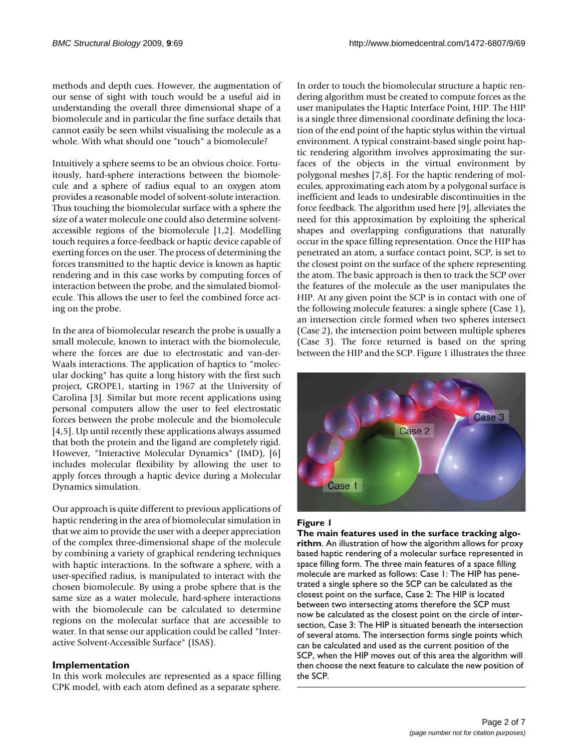methods and depth cues. However, the augmentation of our sense of sight with touch would be a useful aid in understanding the overall three dimensional shape of a biomolecule and in particular the fine surface details that cannot easily be seen whilst visualising the molecule as a whole. With what should one "touch" a biomolecule?

Intuitively a sphere seems to be an obvious choice. Fortuitously, hard-sphere interactions between the biomolecule and a sphere of radius equal to an oxygen atom provides a reasonable model of solvent-solute interaction. Thus touching the biomolecular surface with a sphere the size of a water molecule one could also determine solventaccessible regions of the biomolecule [[1](#page-5-0),[2\]](#page-5-1). Modelling touch requires a force-feedback or haptic device capable of exerting forces on the user. The process of determining the forces transmitted to the haptic device is known as haptic rendering and in this case works by computing forces of interaction between the probe, and the simulated biomolecule. This allows the user to feel the combined force acting on the probe.

In the area of biomolecular research the probe is usually a small molecule, known to interact with the biomolecule, where the forces are due to electrostatic and van-der-Waals interactions. The application of haptics to "molecular docking" has quite a long history with the first such project, GROPE1, starting in 1967 at the University of Carolina [\[3\]](#page-5-2). Similar but more recent applications using personal computers allow the user to feel electrostatic forces between the probe molecule and the biomolecule [[4](#page-5-3)[,5\]](#page-5-4). Up until recently these applications always assumed that both the protein and the ligand are completely rigid. However, "Interactive Molecular Dynamics" (IMD), [\[6\]](#page-5-5) includes molecular flexibility by allowing the user to apply forces through a haptic device during a Molecular Dynamics simulation.

Our approach is quite different to previous applications of haptic rendering in the area of biomolecular simulation in that we aim to provide the user with a deeper appreciation of the complex three-dimensional shape of the molecule by combining a variety of graphical rendering techniques with haptic interactions. In the software a sphere, with a user-specified radius, is manipulated to interact with the chosen biomolecule. By using a probe sphere that is the same size as a water molecule, hard-sphere interactions with the biomolecule can be calculated to determine regions on the molecular surface that are accessible to water. In that sense our application could be called "Interactive Solvent-Accessible Surface" (ISAS).

# **Implementation**

In this work molecules are represented as a space filling CPK model, with each atom defined as a separate sphere.

In order to touch the biomolecular structure a haptic rendering algorithm must be created to compute forces as the user manipulates the Haptic Interface Point, HIP. The HIP is a single three dimensional coordinate defining the location of the end point of the haptic stylus within the virtual environment. A typical constraint-based single point haptic rendering algorithm involves approximating the surfaces of the objects in the virtual environment by polygonal meshes [\[7](#page-5-6)[,8\]](#page-6-0). For the haptic rendering of molecules, approximating each atom by a polygonal surface is inefficient and leads to undesirable discontinuities in the force feedback. The algorithm used here [\[9](#page-6-1)], alleviates the need for this approximation by exploiting the spherical shapes and overlapping configurations that naturally occur in the space filling representation. Once the HIP has penetrated an atom, a surface contact point, SCP, is set to the closest point on the surface of the sphere representing the atom. The basic approach is then to track the SCP over the features of the molecule as the user manipulates the HIP. At any given point the SCP is in contact with one of the following molecule features: a single sphere (Case 1), an intersection circle formed when two spheres intersect (Case 2), the intersection point between multiple spheres (Case 3). The force returned is based on the spring between the HIP and the SCP. Figure [1](#page-1-0) illustrates the three

<span id="page-1-0"></span>

#### Figure 1

**The main features used in the surface tracking algorithm**. An illustration of how the algorithm allows for proxy based haptic rendering of a molecular surface represented in space filling form. The three main features of a space filling molecule are marked as follows: Case 1: The HIP has penetrated a single sphere so the SCP can be calculated as the closest point on the surface, Case 2: The HIP is located between two intersecting atoms therefore the SCP must now be calculated as the closest point on the circle of intersection, Case 3: The HIP is situated beneath the intersection of several atoms. The intersection forms single points which can be calculated and used as the current position of the SCP, when the HIP moves out of this area the algorithm will then choose the next feature to calculate the new position of the SCP.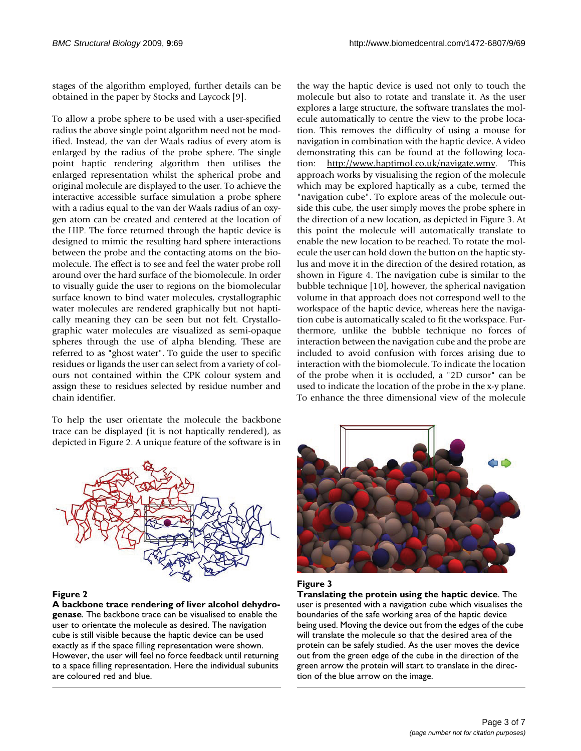stages of the algorithm employed, further details can be obtained in the paper by Stocks and Laycock [\[9\]](#page-6-1).

To allow a probe sphere to be used with a user-specified radius the above single point algorithm need not be modified. Instead, the van der Waals radius of every atom is enlarged by the radius of the probe sphere. The single point haptic rendering algorithm then utilises the enlarged representation whilst the spherical probe and original molecule are displayed to the user. To achieve the interactive accessible surface simulation a probe sphere with a radius equal to the van der Waals radius of an oxygen atom can be created and centered at the location of the HIP. The force returned through the haptic device is designed to mimic the resulting hard sphere interactions between the probe and the contacting atoms on the biomolecule. The effect is to see and feel the water probe roll around over the hard surface of the biomolecule. In order to visually guide the user to regions on the biomolecular surface known to bind water molecules, crystallographic water molecules are rendered graphically but not haptically meaning they can be seen but not felt. Crystallographic water molecules are visualized as semi-opaque spheres through the use of alpha blending. These are referred to as "ghost water". To guide the user to specific residues or ligands the user can select from a variety of colours not contained within the CPK colour system and assign these to residues selected by residue number and chain identifier.

To help the user orientate the molecule the backbone trace can be displayed (it is not haptically rendered), as depicted in Figure [2.](#page-2-0) A unique feature of the software is in

<span id="page-2-0"></span>

#### Figure 2

**A backbone trace rendering of liver alcohol dehydrogenase**. The backbone trace can be visualised to enable the user to orientate the molecule as desired. The navigation cube is still visible because the haptic device can be used exactly as if the space filling representation were shown. However, the user will feel no force feedback until returning to a space filling representation. Here the individual subunits are coloured red and blue.

the way the haptic device is used not only to touch the molecule but also to rotate and translate it. As the user explores a large structure, the software translates the molecule automatically to centre the view to the probe location. This removes the difficulty of using a mouse for navigation in combination with the haptic device. A video demonstrating this can be found at the following location: <http://www.haptimol.co.uk/navigate.wmv>. This approach works by visualising the region of the molecule which may be explored haptically as a cube, termed the "navigation cube". To explore areas of the molecule outside this cube, the user simply moves the probe sphere in the direction of a new location, as depicted in Figure [3.](#page-2-1) At this point the molecule will automatically translate to enable the new location to be reached. To rotate the molecule the user can hold down the button on the haptic stylus and move it in the direction of the desired rotation, as shown in Figure [4.](#page-3-0) The navigation cube is similar to the bubble technique [\[10\]](#page-6-2), however, the spherical navigation volume in that approach does not correspond well to the workspace of the haptic device, whereas here the navigation cube is automatically scaled to fit the workspace. Furthermore, unlike the bubble technique no forces of interaction between the navigation cube and the probe are included to avoid confusion with forces arising due to interaction with the biomolecule. To indicate the location of the probe when it is occluded, a "2D cursor" can be used to indicate the location of the probe in the x-y plane. To enhance the three dimensional view of the molecule

<span id="page-2-1"></span>

#### Figure 3

**Translating the protein using the haptic device**. The user is presented with a navigation cube which visualises the boundaries of the safe working area of the haptic device being used. Moving the device out from the edges of the cube will translate the molecule so that the desired area of the protein can be safely studied. As the user moves the device out from the green edge of the cube in the direction of the green arrow the protein will start to translate in the direction of the blue arrow on the image.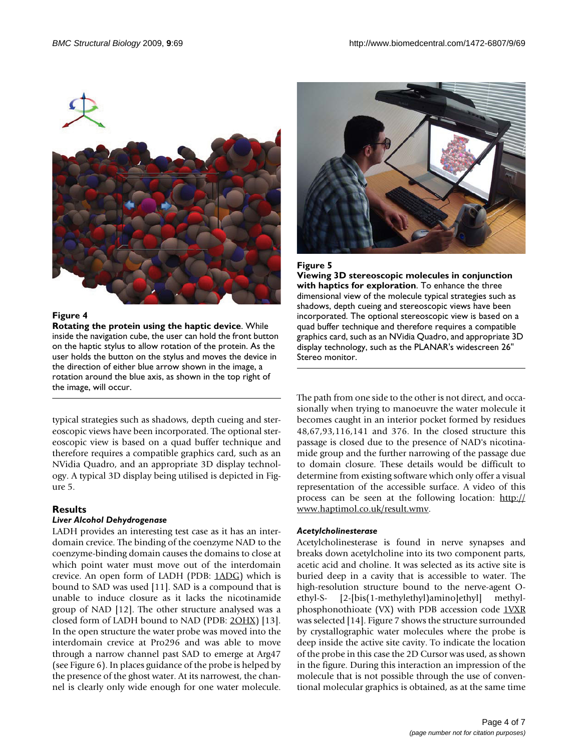<span id="page-3-0"></span>

#### **Figure 4**

**Rotating the protein using the haptic device**. While inside the navigation cube, the user can hold the front button on the haptic stylus to allow rotation of the protein. As the user holds the button on the stylus and moves the device in the direction of either blue arrow shown in the image, a rotation around the blue axis, as shown in the top right of the image, will occur.

typical strategies such as shadows, depth cueing and stereoscopic views have been incorporated. The optional stereoscopic view is based on a quad buffer technique and therefore requires a compatible graphics card, such as an NVidia Quadro, and an appropriate 3D display technology. A typical 3D display being utilised is depicted in Figure [5.](#page-3-1)

# **Results**

#### *Liver Alcohol Dehydrogenase*

LADH provides an interesting test case as it has an interdomain crevice. The binding of the coenzyme NAD to the coenzyme-binding domain causes the domains to close at which point water must move out of the interdomain crevice. An open form of LADH (PDB: [1ADG](http://www.rcsb.org/pdb/cgi/explore.cgi?pdbId=1ADG)) which is bound to SAD was used [[11\]](#page-6-3). SAD is a compound that is unable to induce closure as it lacks the nicotinamide group of NAD [[12\]](#page-6-4). The other structure analysed was a closed form of LADH bound to NAD (PDB: [2OHX](http://www.rcsb.org/pdb/cgi/explore.cgi?pdbId=2OHX)) [\[13](#page-6-5)]. In the open structure the water probe was moved into the interdomain crevice at Pro296 and was able to move through a narrow channel past SAD to emerge at Arg47 (see Figure [6](#page-4-0)). In places guidance of the probe is helped by the presence of the ghost water. At its narrowest, the channel is clearly only wide enough for one water molecule.

<span id="page-3-1"></span>



**Viewing 3D stereoscopic molecules in conjunction with haptics for exploration**. To enhance the three dimensional view of the molecule typical strategies such as shadows, depth cueing and stereoscopic views have been incorporated. The optional stereoscopic view is based on a quad buffer technique and therefore requires a compatible graphics card, such as an NVidia Quadro, and appropriate 3D display technology, such as the PLANAR's widescreen 26" Stereo monitor.

The path from one side to the other is not direct, and occasionally when trying to manoeuvre the water molecule it becomes caught in an interior pocket formed by residues 48,67,93,116,141 and 376. In the closed structure this passage is closed due to the presence of NAD's nicotinamide group and the further narrowing of the passage due to domain closure. These details would be difficult to determine from existing software which only offer a visual representation of the accessible surface. A video of this process can be seen at the following location: [http://](http://www.haptimol.co.uk/result.wmv) [www.haptimol.co.uk/result.wmv.](http://www.haptimol.co.uk/result.wmv)

# *Acetylcholinesterase*

Acetylcholinesterase is found in nerve synapses and breaks down acetylcholine into its two component parts, acetic acid and choline. It was selected as its active site is buried deep in a cavity that is accessible to water. The high-resolution structure bound to the nerve-agent Oethyl-S- [2-[bis(1-methylethyl)amino]ethyl] methylphosphonothioate (VX) with PDB accession code [1VXR](http://www.rcsb.org/pdb/cgi/explore.cgi?pdbId=1VXR) was selected [\[14\]](#page-6-6). Figure [7](#page-4-1) shows the structure surrounded by crystallographic water molecules where the probe is deep inside the active site cavity. To indicate the location of the probe in this case the 2D Cursor was used, as shown in the figure. During this interaction an impression of the molecule that is not possible through the use of conventional molecular graphics is obtained, as at the same time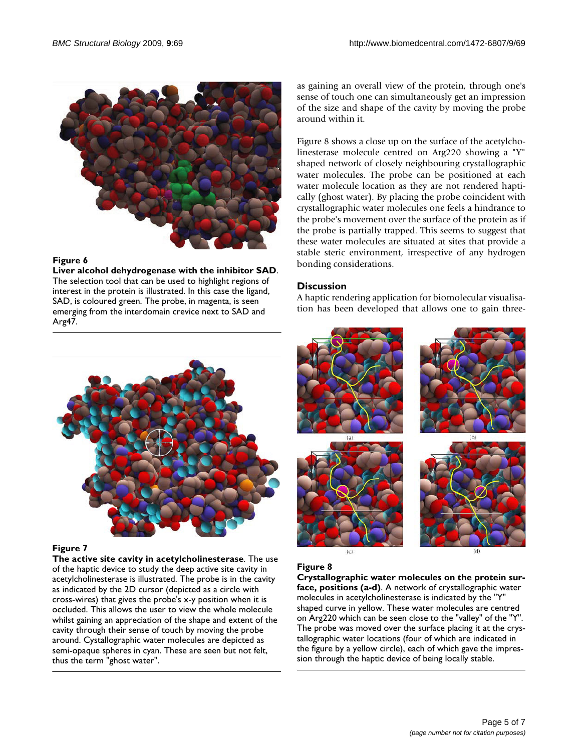<span id="page-4-0"></span>

# Figure 6

**Liver alcohol dehydrogenase with the inhibitor SAD**. The selection tool that can be used to highlight regions of interest in the protein is illustrated. In this case the ligand, SAD, is coloured green. The probe, in magenta, is seen emerging from the interdomain crevice next to SAD and Arg47.

<span id="page-4-1"></span>

# Figure 7

**The active site cavity in acetylcholinesterase**. The use of the haptic device to study the deep active site cavity in acetylcholinesterase is illustrated. The probe is in the cavity as indicated by the 2D cursor (depicted as a circle with cross-wires) that gives the probe's x-y position when it is occluded. This allows the user to view the whole molecule whilst gaining an appreciation of the shape and extent of the cavity through their sense of touch by moving the probe around. Cystallographic water molecules are depicted as semi-opaque spheres in cyan. These are seen but not felt, thus the term "ghost water".

as gaining an overall view of the protein, through one's sense of touch one can simultaneously get an impression of the size and shape of the cavity by moving the probe around within it.

Figure [8](#page-4-2) shows a close up on the surface of the acetylcholinesterase molecule centred on Arg220 showing a "Y" shaped network of closely neighbouring crystallographic water molecules. The probe can be positioned at each water molecule location as they are not rendered haptically (ghost water). By placing the probe coincident with crystallographic water molecules one feels a hindrance to the probe's movement over the surface of the protein as if the probe is partially trapped. This seems to suggest that these water molecules are situated at sites that provide a stable steric environment, irrespective of any hydrogen bonding considerations.

# **Discussion**

A haptic rendering application for biomolecular visualisation has been developed that allows one to gain three-

<span id="page-4-2"></span>

# Figure 8

**Crystallographic water molecules on the protein surface, positions (a-d)**. A network of crystallographic water molecules in acetylcholinesterase is indicated by the "Y" shaped curve in yellow. These water molecules are centred on Arg220 which can be seen close to the "valley" of the "Y". The probe was moved over the surface placing it at the crystallographic water locations (four of which are indicated in the figure by a yellow circle), each of which gave the impression through the haptic device of being locally stable.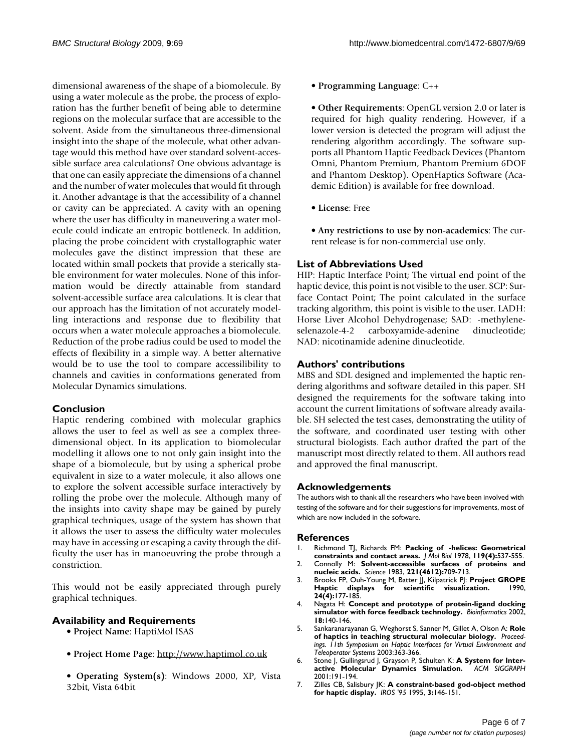dimensional awareness of the shape of a biomolecule. By using a water molecule as the probe, the process of exploration has the further benefit of being able to determine regions on the molecular surface that are accessible to the solvent. Aside from the simultaneous three-dimensional insight into the shape of the molecule, what other advantage would this method have over standard solvent-accessible surface area calculations? One obvious advantage is that one can easily appreciate the dimensions of a channel and the number of water molecules that would fit through it. Another advantage is that the accessibility of a channel or cavity can be appreciated. A cavity with an opening where the user has difficulty in maneuvering a water molecule could indicate an entropic bottleneck. In addition, placing the probe coincident with crystallographic water molecules gave the distinct impression that these are located within small pockets that provide a sterically stable environment for water molecules. None of this information would be directly attainable from standard solvent-accessible surface area calculations. It is clear that our approach has the limitation of not accurately modelling interactions and response due to flexibility that occurs when a water molecule approaches a biomolecule. Reduction of the probe radius could be used to model the effects of flexibility in a simple way. A better alternative would be to use the tool to compare accessilibility to channels and cavities in conformations generated from Molecular Dynamics simulations.

# **Conclusion**

Haptic rendering combined with molecular graphics allows the user to feel as well as see a complex threedimensional object. In its application to biomolecular modelling it allows one to not only gain insight into the shape of a biomolecule, but by using a spherical probe equivalent in size to a water molecule, it also allows one to explore the solvent accessible surface interactively by rolling the probe over the molecule. Although many of the insights into cavity shape may be gained by purely graphical techniques, usage of the system has shown that it allows the user to assess the difficulty water molecules may have in accessing or escaping a cavity through the difficulty the user has in manoeuvring the probe through a constriction.

This would not be easily appreciated through purely graphical techniques.

# **Availability and Requirements**

- **Project Name**: HaptiMol ISAS
- **Project Home Page**: <http://www.haptimol.co.uk>
- **Operating System(s)**: Windows 2000, XP, Vista 32bit, Vista 64bit

#### • **Programming Language**: C++

• **Other Requirements**: OpenGL version 2.0 or later is required for high quality rendering. However, if a lower version is detected the program will adjust the rendering algorithm accordingly. The software supports all Phantom Haptic Feedback Devices (Phantom Omni, Phantom Premium, Phantom Premium 6DOF and Phantom Desktop). OpenHaptics Software (Academic Edition) is available for free download.

- **License**: Free
- **Any restrictions to use by non-academics**: The current release is for non-commercial use only.

# **List of Abbreviations Used**

HIP: Haptic Interface Point; The virtual end point of the haptic device, this point is not visible to the user. SCP: Surface Contact Point; The point calculated in the surface tracking algorithm, this point is visible to the user. LADH: Horse Liver Alcohol Dehydrogenase; SAD: -methyleneselenazole-4-2 carboxyamide-adenine dinucleotide; NAD: nicotinamide adenine dinucleotide.

# **Authors' contributions**

MBS and SDL designed and implemented the haptic rendering algorithms and software detailed in this paper. SH designed the requirements for the software taking into account the current limitations of software already available. SH selected the test cases, demonstrating the utility of the software, and coordinated user testing with other structural biologists. Each author drafted the part of the manuscript most directly related to them. All authors read and approved the final manuscript.

# **Acknowledgements**

The authors wish to thank all the researchers who have been involved with testing of the software and for their suggestions for improvements, most of which are now included in the software.

#### **References**

- <span id="page-5-0"></span>1. Richmond TJ, Richards FM: **Packing of [-helices: Geometrical](http://www.ncbi.nlm.nih.gov/entrez/query.fcgi?cmd=Retrieve&db=PubMed&dopt=Abstract&list_uids=642001) [constraints and contact areas.](http://www.ncbi.nlm.nih.gov/entrez/query.fcgi?cmd=Retrieve&db=PubMed&dopt=Abstract&list_uids=642001)** *J Mol Biol* 1978, **119(4):**537-555.
- <span id="page-5-1"></span>2. Connolly M: **[Solvent-accessible surfaces of proteins and](http://www.ncbi.nlm.nih.gov/entrez/query.fcgi?cmd=Retrieve&db=PubMed&dopt=Abstract&list_uids=6879170) [nucleic acids.](http://www.ncbi.nlm.nih.gov/entrez/query.fcgi?cmd=Retrieve&db=PubMed&dopt=Abstract&list_uids=6879170)** *Science* 1983, **221(4612):**709-713.
- <span id="page-5-2"></span>3. Brooks FP, Ouh-Young M, Batter JJ, Kilpatrick PJ: **Project GROPE** Haptic displays for scientific visualization. **24(4):**177-185.
- <span id="page-5-3"></span>4. Nagata H: **[Concept and prototype of protein-ligand docking](http://www.ncbi.nlm.nih.gov/entrez/query.fcgi?cmd=Retrieve&db=PubMed&dopt=Abstract&list_uids=11836222) [simulator with force feedback technology.](http://www.ncbi.nlm.nih.gov/entrez/query.fcgi?cmd=Retrieve&db=PubMed&dopt=Abstract&list_uids=11836222)** *Bioinformatics* 2002, **18:**140-146.
- <span id="page-5-4"></span>5. Sankaranarayanan G, Weghorst S, Sanner M, Gillet A, Olson A: **Role of haptics in teaching structural molecular biology.** *Proceedings. 11th Symposium on Haptic Interfaces for Virtual Environment and Teleoperator Systems* 2003:363-366.
- <span id="page-5-5"></span>6. Stone J, Gullingsrud J, Grayson P, Schulten K: **A System for Interactive Molecular Dynamics Simulation.** *ACM SIGGRAPH* 2001:191-194.
- <span id="page-5-6"></span>7. Zilles CB, Salisbury JK: **A constraint-based god-object method for haptic display.** *IROS '95* 1995, **3:**146-151.